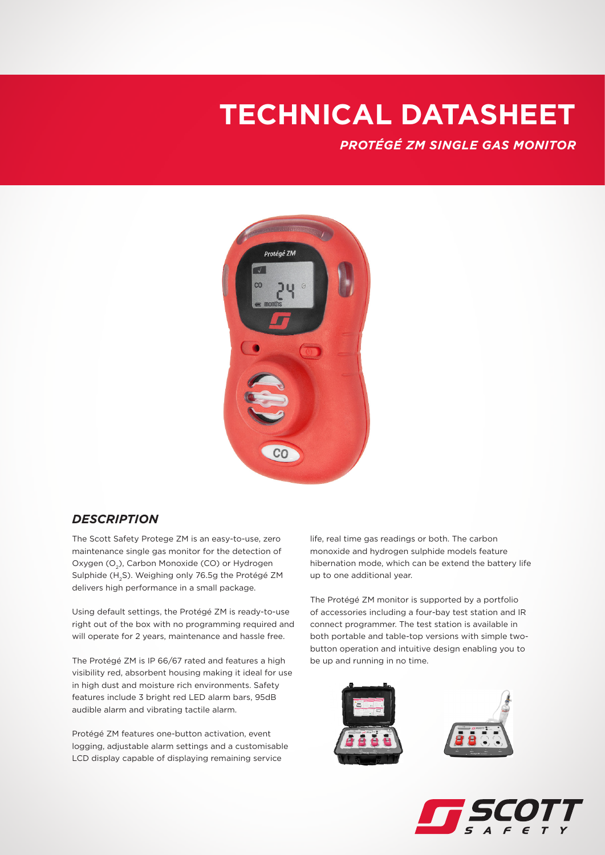*PROTÉGÉ ZM SINGLE GAS MONITOR*



#### *DESCRIPTION*

The Scott Safety Protege ZM is an easy-to-use, zero maintenance single gas monitor for the detection of Oxygen (O<sub>2</sub>), Carbon Monoxide (CO) or Hydrogen Sulphide (H2S). Weighing only 76.5g the Protégé ZM delivers high performance in a small package.

Using default settings, the Protégé ZM is ready-to-use right out of the box with no programming required and will operate for 2 years, maintenance and hassle free.

The Protégé ZM is IP 66/67 rated and features a high visibility red, absorbent housing making it ideal for use in high dust and moisture rich environments. Safety features include 3 bright red LED alarm bars, 95dB audible alarm and vibrating tactile alarm.

Protégé ZM features one-button activation, event logging, adjustable alarm settings and a customisable LCD display capable of displaying remaining service

life, real time gas readings or both. The carbon monoxide and hydrogen sulphide models feature hibernation mode, which can be extend the battery life up to one additional year.

The Protégé ZM monitor is supported by a portfolio of accessories including a four-bay test station and IR connect programmer. The test station is available in both portable and table-top versions with simple twobutton operation and intuitive design enabling you to be up and running in no time.



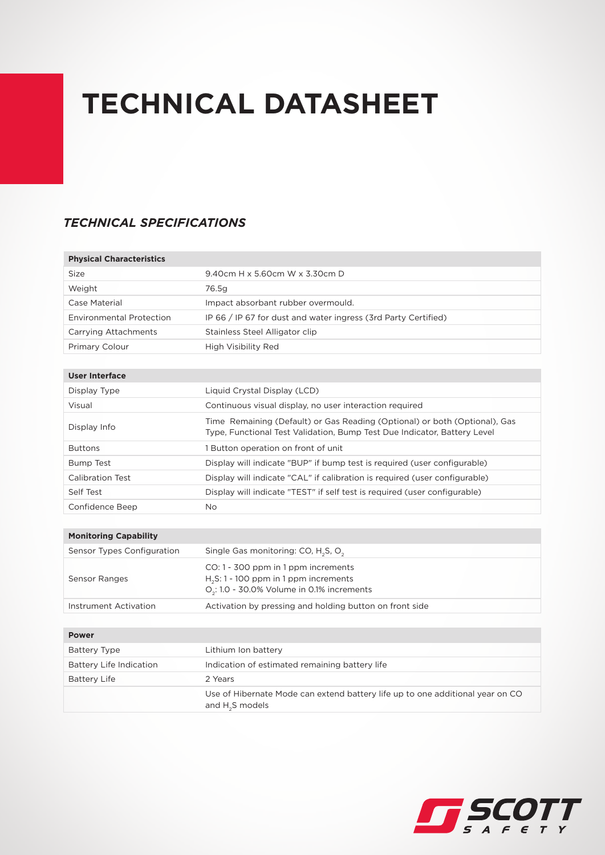## *TECHNICAL SPECIFICATIONS*

| <b>Physical Characteristics</b> |                                                                                                                                                        |
|---------------------------------|--------------------------------------------------------------------------------------------------------------------------------------------------------|
| Size                            | 9.40cm H x 5.60cm W x 3.30cm D                                                                                                                         |
| Weight                          | 76.5g                                                                                                                                                  |
| Case Material                   | Impact absorbant rubber overmould.                                                                                                                     |
| <b>Environmental Protection</b> | IP 66 / IP 67 for dust and water ingress (3rd Party Certified)                                                                                         |
| Carrying Attachments            | Stainless Steel Alligator clip                                                                                                                         |
| <b>Primary Colour</b>           | High Visibility Red                                                                                                                                    |
|                                 |                                                                                                                                                        |
| <b>User Interface</b>           |                                                                                                                                                        |
| Display Type                    | Liquid Crystal Display (LCD)                                                                                                                           |
| Visual                          | Continuous visual display, no user interaction required                                                                                                |
| Display Info                    | Time Remaining (Default) or Gas Reading (Optional) or both (Optional), Gas<br>Type, Functional Test Validation, Bump Test Due Indicator, Battery Level |
| <b>Buttons</b>                  | 1 Button operation on front of unit                                                                                                                    |
| <b>Bump Test</b>                | Display will indicate "BUP" if bump test is required (user configurable)                                                                               |
| Calibration Test                | Display will indicate "CAL" if calibration is required (user configurable)                                                                             |
| Self Test                       | Display will indicate "TEST" if self test is required (user configurable)                                                                              |
| Confidence Beep                 | <b>No</b>                                                                                                                                              |
|                                 |                                                                                                                                                        |
| <b>Monitoring Capability</b>    |                                                                                                                                                        |
| Sensor Types Configuration      | Single Gas monitoring: CO, H <sub>2</sub> S, O <sub>2</sub>                                                                                            |
| Sensor Ranges                   | CO: 1 - 300 ppm in 1 ppm increments<br>$H2S$ : 1 - 100 ppm in 1 ppm increments<br>$O2$ : 1.0 - 30.0% Volume in 0.1% increments                         |
| Instrument Activation           | Activation by pressing and holding button on front side                                                                                                |
|                                 |                                                                                                                                                        |
| <b>Power</b>                    |                                                                                                                                                        |
| <b>Battery Type</b>             | Lithium Ion battery                                                                                                                                    |
| <b>Battery Life Indication</b>  | Indication of estimated remaining battery life                                                                                                         |
| <b>Battery Life</b>             | 2 Years                                                                                                                                                |
|                                 | Use of Hibernate Mode can extend battery life up to one additional year on CO<br>and $H_2S$ models                                                     |

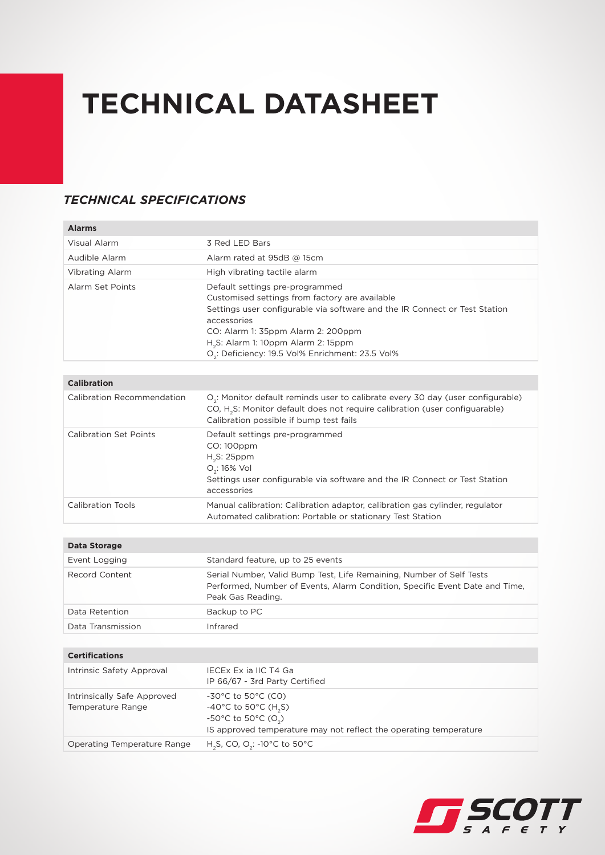## *TECHNICAL SPECIFICATIONS*

| <b>Alarms</b>                                    |                                                                                                                                                                                                                                                                                                                                         |
|--------------------------------------------------|-----------------------------------------------------------------------------------------------------------------------------------------------------------------------------------------------------------------------------------------------------------------------------------------------------------------------------------------|
| Visual Alarm                                     | 3 Red LED Bars                                                                                                                                                                                                                                                                                                                          |
| Audible Alarm                                    | Alarm rated at 95dB @ 15cm                                                                                                                                                                                                                                                                                                              |
| <b>Vibrating Alarm</b>                           | High vibrating tactile alarm                                                                                                                                                                                                                                                                                                            |
| Alarm Set Points                                 | Default settings pre-programmed<br>Customised settings from factory are available<br>Settings user configurable via software and the IR Connect or Test Station<br>accessories<br>CO: Alarm 1: 35ppm Alarm 2: 200ppm<br>H <sub>2</sub> S: Alarm 1: 10ppm Alarm 2: 15ppm<br>O <sub>2</sub> : Deficiency: 19.5 Vol% Enrichment: 23.5 Vol% |
| <b>Calibration</b>                               |                                                                                                                                                                                                                                                                                                                                         |
| Calibration Recommendation                       | $O_{2}$ : Monitor default reminds user to calibrate every 30 day (user configurable)<br>CO, H <sub>2</sub> S: Monitor default does not require calibration (user configuarable)<br>Calibration possible if bump test fails                                                                                                              |
| <b>Calibration Set Points</b>                    | Default settings pre-programmed<br>CO: 100ppm<br>$H_2S$ : 25ppm<br>$O_2$ : 16% Vol<br>Settings user configurable via software and the IR Connect or Test Station<br>accessories                                                                                                                                                         |
| <b>Calibration Tools</b>                         | Manual calibration: Calibration adaptor, calibration gas cylinder, regulator<br>Automated calibration: Portable or stationary Test Station                                                                                                                                                                                              |
|                                                  |                                                                                                                                                                                                                                                                                                                                         |
| <b>Data Storage</b>                              |                                                                                                                                                                                                                                                                                                                                         |
| Event Logging                                    | Standard feature, up to 25 events                                                                                                                                                                                                                                                                                                       |
| <b>Record Content</b>                            | Serial Number, Valid Bump Test, Life Remaining, Number of Self Tests<br>Performed, Number of Events, Alarm Condition, Specific Event Date and Time,<br>Peak Gas Reading.                                                                                                                                                                |
| Data Retention                                   | Backup to PC                                                                                                                                                                                                                                                                                                                            |
| Data Transmission                                | Infrared                                                                                                                                                                                                                                                                                                                                |
|                                                  |                                                                                                                                                                                                                                                                                                                                         |
| <b>Certifications</b>                            |                                                                                                                                                                                                                                                                                                                                         |
| Intrinsic Safety Approval                        | IECEX Ex ia IIC T4 Ga<br>IP 66/67 - 3rd Party Certified                                                                                                                                                                                                                                                                                 |
| Intrinsically Safe Approved<br>Temperature Range | -30°C to 50°C (CO)<br>-40°C to 50°C (H <sub>2</sub> S)<br>-50°C to 50°C (O <sub>2</sub> )<br>IS approved temperature may not reflect the operating temperature                                                                                                                                                                          |
| Operating Temperature Range                      | H <sub>2</sub> S, CO, O <sub>2</sub> : -10°C to 50°C                                                                                                                                                                                                                                                                                    |

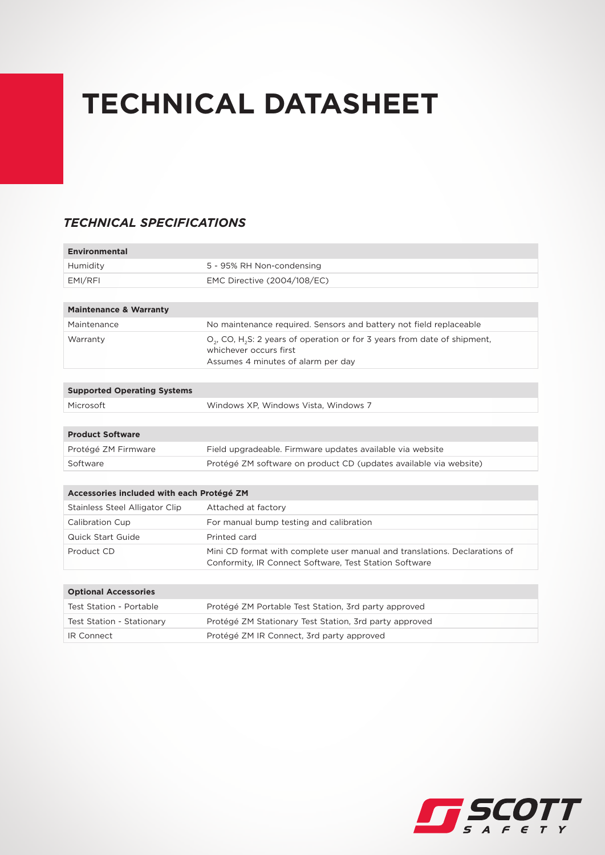## *TECHNICAL SPECIFICATIONS*

| <b>Environmental</b>                      |                                                                                                                                                            |
|-------------------------------------------|------------------------------------------------------------------------------------------------------------------------------------------------------------|
| Humidity                                  | 5 - 95% RH Non-condensing                                                                                                                                  |
| EMI/RFI                                   | EMC Directive (2004/108/EC)                                                                                                                                |
|                                           |                                                                                                                                                            |
| <b>Maintenance &amp; Warranty</b>         |                                                                                                                                                            |
| Maintenance                               | No maintenance required. Sensors and battery not field replaceable                                                                                         |
| Warranty                                  | $O_{2}$ , CO, H <sub>2</sub> S: 2 years of operation or for 3 years from date of shipment,<br>whichever occurs first<br>Assumes 4 minutes of alarm per day |
| <b>Supported Operating Systems</b>        |                                                                                                                                                            |
| Microsoft                                 | Windows XP, Windows Vista, Windows 7                                                                                                                       |
|                                           |                                                                                                                                                            |
| <b>Product Software</b>                   |                                                                                                                                                            |
| Protégé ZM Firmware                       | Field upgradeable. Firmware updates available via website                                                                                                  |
| Software                                  | Protégé ZM software on product CD (updates available via website)                                                                                          |
|                                           |                                                                                                                                                            |
| Accessories included with each Protégé ZM |                                                                                                                                                            |
| Stainless Steel Alligator Clip            | Attached at factory                                                                                                                                        |
| Calibration Cup                           | For manual bump testing and calibration                                                                                                                    |
| Quick Start Guide                         | Printed card                                                                                                                                               |
| Product CD                                | Mini CD format with complete user manual and translations. Declarations of<br>Conformity, IR Connect Software, Test Station Software                       |
|                                           |                                                                                                                                                            |
| <b>Optional Accessories</b>               |                                                                                                                                                            |
| Test Station - Portable                   | Protégé ZM Portable Test Station, 3rd party approved                                                                                                       |
| Test Station - Stationary                 | Protégé ZM Stationary Test Station, 3rd party approved                                                                                                     |
| <b>IR Connect</b>                         | Protégé ZM IR Connect, 3rd party approved                                                                                                                  |